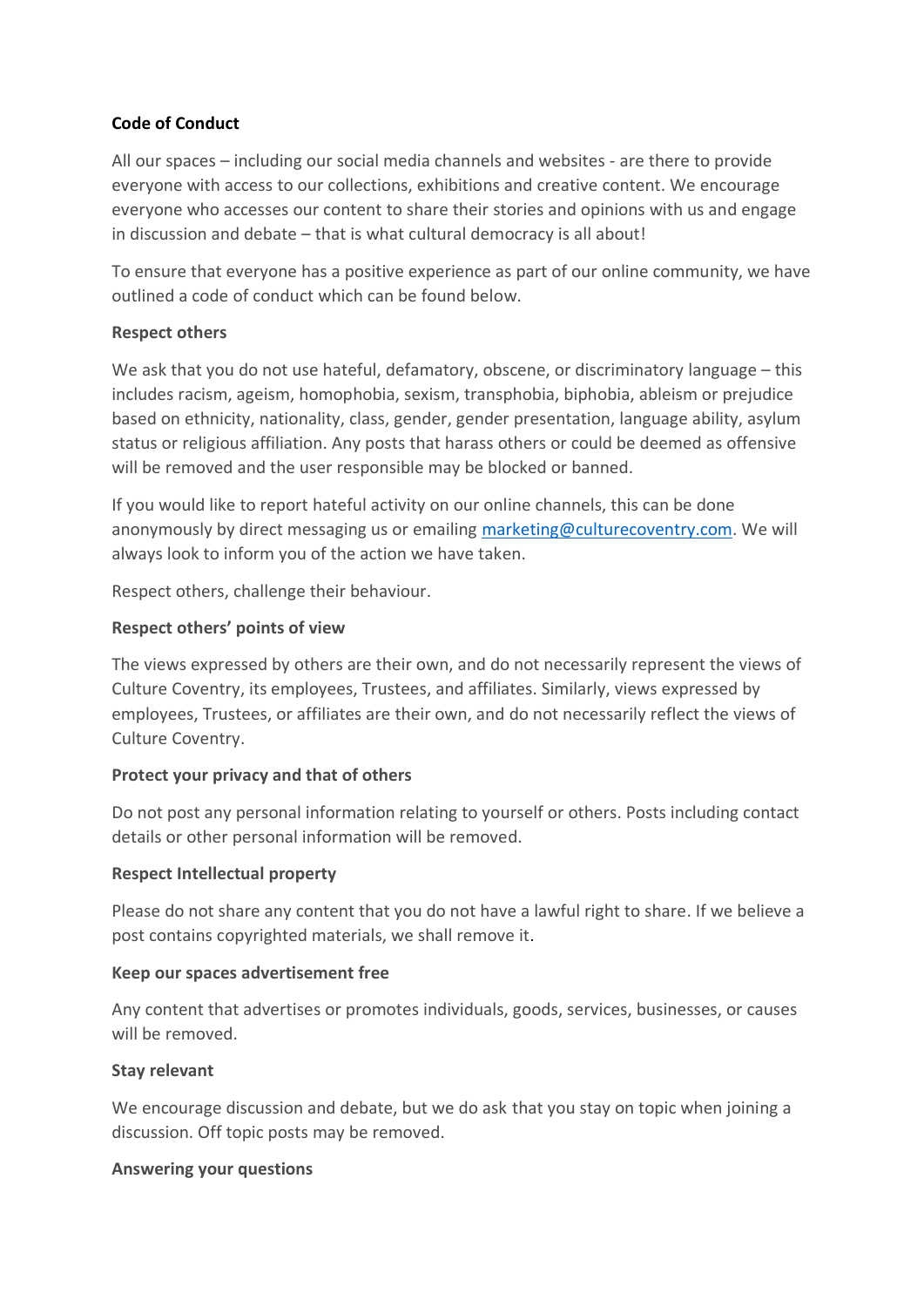# **Code of Conduct**

All our spaces – including our social media channels and websites - are there to provide everyone with access to our collections, exhibitions and creative content. We encourage everyone who accesses our content to share their stories and opinions with us and engage in discussion and debate – that is what cultural democracy is all about!

To ensure that everyone has a positive experience as part of our online community, we have outlined a code of conduct which can be found below.

### **Respect others**

We ask that you do not use hateful, defamatory, obscene, or discriminatory language – this includes racism, ageism, homophobia, sexism, transphobia, biphobia, ableism or prejudice based on ethnicity, nationality, class, gender, gender presentation, language ability, asylum status or religious affiliation. Any posts that harass others or could be deemed as offensive will be removed and the user responsible may be blocked or banned.

If you would like to report hateful activity on our online channels, this can be done anonymously by direct messaging us or emailing [marketing@culturecoventry.com.](mailto:marketing@culturecoventry.com) We will always look to inform you of the action we have taken.

Respect others, challenge their behaviour.

### **Respect others' points of view**

The views expressed by others are their own, and do not necessarily represent the views of Culture Coventry, its employees, Trustees, and affiliates. Similarly, views expressed by employees, Trustees, or affiliates are their own, and do not necessarily reflect the views of Culture Coventry.

# **Protect your privacy and that of others**

Do not post any personal information relating to yourself or others. Posts including contact details or other personal information will be removed.

#### **Respect Intellectual property**

Please do not share any content that you do not have a lawful right to share. If we believe a post contains copyrighted materials, we shall remove it.

#### **Keep our spaces advertisement free**

Any content that advertises or promotes individuals, goods, services, businesses, or causes will be removed.

#### **Stay relevant**

We encourage discussion and debate, but we do ask that you stay on topic when joining a discussion. Off topic posts may be removed.

#### **Answering your questions**